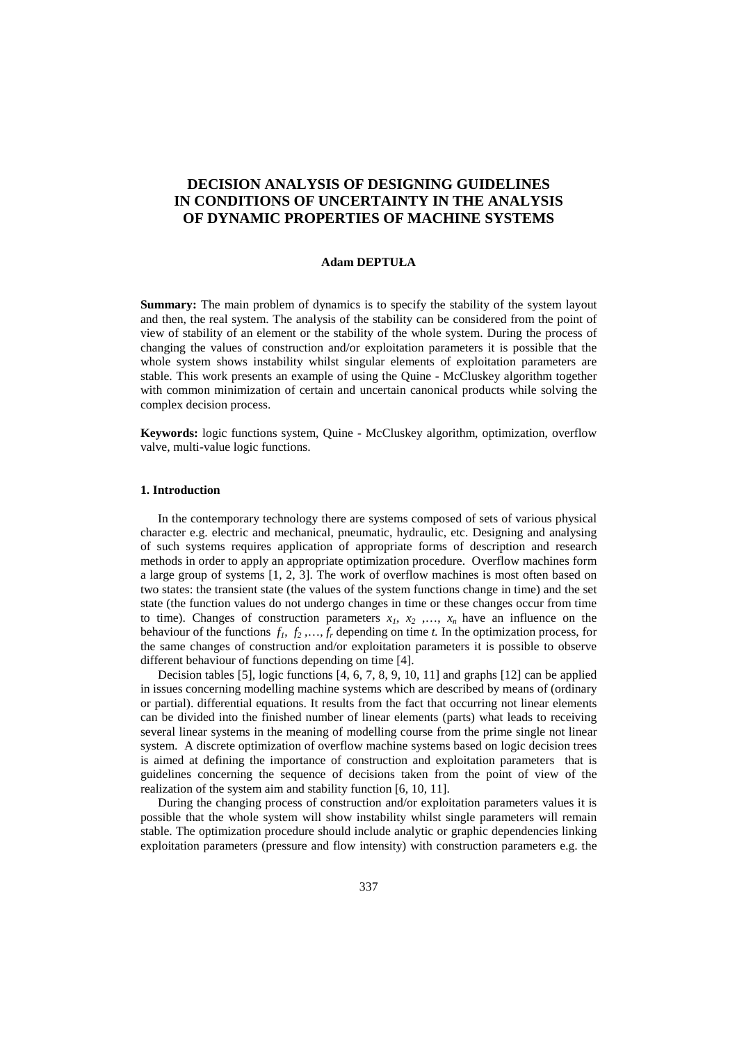# **DECISION ANALYSIS OF DESIGNING GUIDELINES IN CONDITIONS OF UNCERTAINTY IN THE ANALYSIS OF DYNAMIC PROPERTIES OF MACHINE SYSTEMS**

#### **Adam DEPTUŁA**

**Summary:** The main problem of dynamics is to specify the stability of the system layout and then, the real system. The analysis of the stability can be considered from the point of view of stability of an element or the stability of the whole system. During the process of changing the values of construction and/or exploitation parameters it is possible that the whole system shows instability whilst singular elements of exploitation parameters are stable. This work presents an example of using the Quine - McCluskey algorithm together with common minimization of certain and uncertain canonical products while solving the complex decision process.

**Keywords:** logic functions system, Quine - McCluskey algorithm, optimization, overflow valve, multi-value logic functions.

#### **1. Introduction**

In the contemporary technology there are systems composed of sets of various physical character e.g. electric and mechanical, pneumatic, hydraulic, etc. Designing and analysing of such systems requires application of appropriate forms of description and research methods in order to apply an appropriate optimization procedure. Overflow machines form a large group of systems [1, 2, 3]. The work of overflow machines is most often based on two states: the transient state (the values of the system functions change in time) and the set state (the function values do not undergo changes in time or these changes occur from time to time). Changes of construction parameters  $x_1, x_2, \ldots, x_n$  have an influence on the behaviour of the functions  $f_1, f_2, \ldots, f_r$  depending on time *t*. In the optimization process, for the same changes of construction and/or exploitation parameters it is possible to observe different behaviour of functions depending on time [4].

Decision tables [5], logic functions [4, 6, 7, 8, 9, 10, 11] and graphs [12] can be applied in issues concerning modelling machine systems which are described by means of (ordinary or partial). differential equations. It results from the fact that occurring not linear elements can be divided into the finished number of linear elements (parts) what leads to receiving several linear systems in the meaning of modelling course from the prime single not linear system. A discrete optimization of overflow machine systems based on logic decision trees is aimed at defining the importance of construction and exploitation parameters that is guidelines concerning the sequence of decisions taken from the point of view of the realization of the system aim and stability function [6, 10, 11].

During the changing process of construction and/or exploitation parameters values it is possible that the whole system will show instability whilst single parameters will remain stable. The optimization procedure should include analytic or graphic dependencies linking exploitation parameters (pressure and flow intensity) with construction parameters e.g. the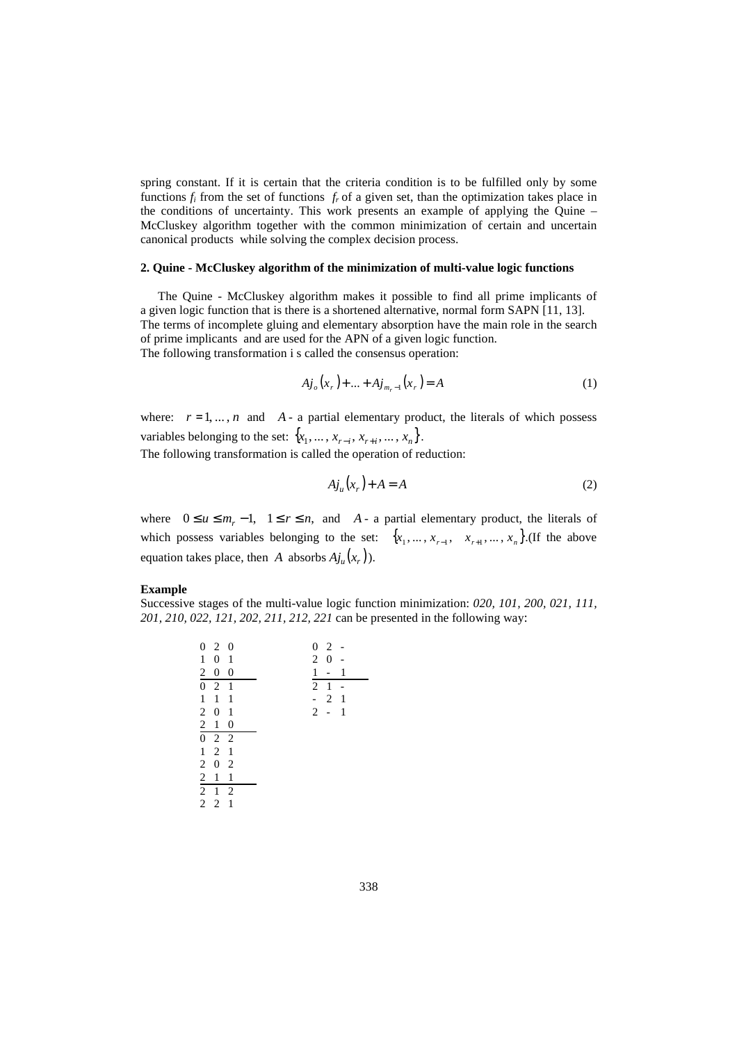spring constant. If it is certain that the criteria condition is to be fulfilled only by some functions  $f_i$  from the set of functions  $f_r$  of a given set, than the optimization takes place in the conditions of uncertainty. This work presents an example of applying the Quine – McCluskey algorithm together with the common minimization of certain and uncertain canonical products while solving the complex decision process.

## **2. Quine - McCluskey algorithm of the minimization of multi-value logic functions**

The Quine - McCluskey algorithm makes it possible to find all prime implicants of a given logic function that is there is a shortened alternative, normal form SAPN [11, 13]. The terms of incomplete gluing and elementary absorption have the main role in the search of prime implicants and are used for the APN of a given logic function. The following transformation i s called the consensus operation:

$$
A j_o(x_r) + ... + A j_{m_r-1}(x_r) = A
$$
 (1)

where:  $r = 1, ..., n$  and  $A - a$  partial elementary product, the literals of which possess variables belonging to the set:  $\{x_1, \ldots, x_{r-i}, x_{r+i}, \ldots, x_n\}$ .

The following transformation is called the operation of reduction:

$$
A j_u(x_r) + A = A \tag{2}
$$

where  $0 \le u \le m_r - 1$ ,  $1 \le r \le n$ , and *A* - a partial elementary product, the literals of which possess variables belonging to the set:  $\{x_1, \ldots, x_{r-1}, x_{r+1}, \ldots, x_n\}$ . (If the above equation takes place, then *A* absorbs  $A j_u(x_r)$ ).

#### **Example**

Successive stages of the multi-value logic function minimization: *020, 101, 200, 021, 111, 201, 210, 022, 121, 202, 211, 212, 221* can be presented in the following way:

|                | 020                                                  |                  |  |  |                | $0\quad2$                |   |  |
|----------------|------------------------------------------------------|------------------|--|--|----------------|--------------------------|---|--|
| $\mathbf{1}$   | $\boldsymbol{0}$                                     | 1                |  |  | $\overline{2}$ | $\boldsymbol{0}$         |   |  |
| $2\quad 0$     |                                                      | $\boldsymbol{0}$ |  |  | 1              | $\overline{\phantom{0}}$ | 1 |  |
|                | $0 \t2 \t1$                                          |                  |  |  | $\overline{2}$ | 1                        |   |  |
| $\mathbf{1}$   | $\mathbf{1}$                                         | 1                |  |  | ÷,             | 2                        | 1 |  |
| $\overline{2}$ | $\boldsymbol{0}$                                     | 1                |  |  | $2 -$          |                          | 1 |  |
|                | $\begin{array}{ccc} 2&1&0\\[-1mm] 0&2&2 \end{array}$ |                  |  |  |                |                          |   |  |
|                |                                                      |                  |  |  |                |                          |   |  |
|                |                                                      |                  |  |  |                |                          |   |  |
|                | $1 \t2 \t1$                                          |                  |  |  |                |                          |   |  |
|                | $2\quad0\quad2$                                      |                  |  |  |                |                          |   |  |
|                |                                                      | 1                |  |  |                |                          |   |  |
| 2 <sub>1</sub> | $\overline{2}$ 1                                     | 2                |  |  |                |                          |   |  |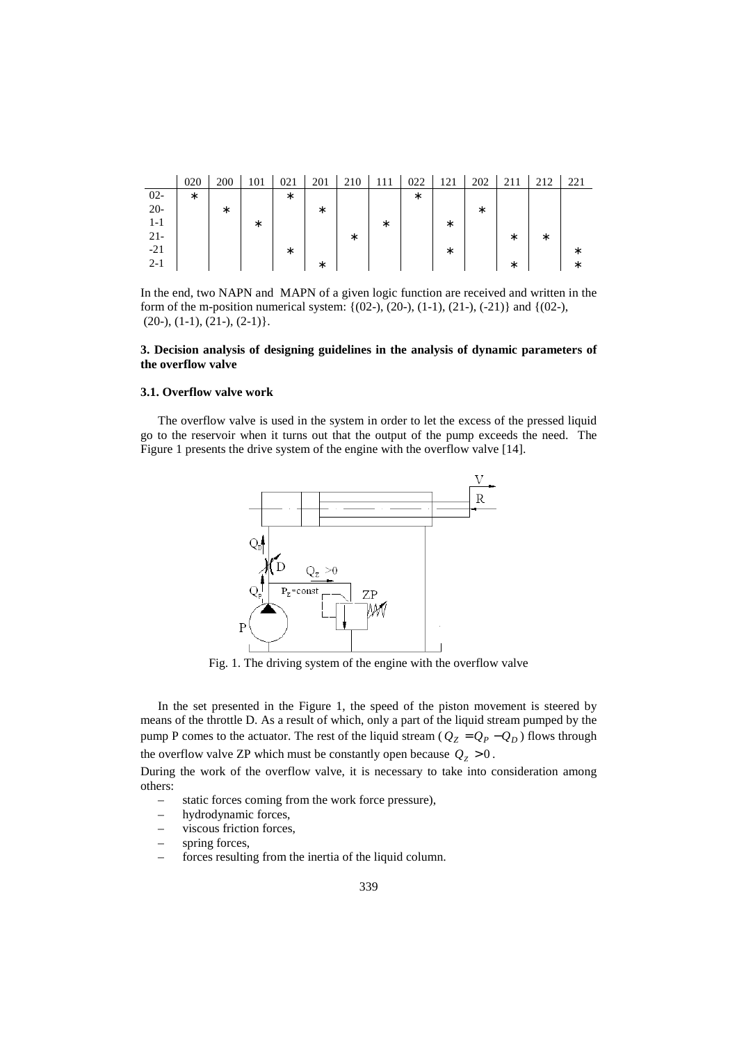|         | 020 | 200    | 101    | 021    | 201    | 210    | 1 I I | 022 | 121    | 202    |        | 212    | 221 |
|---------|-----|--------|--------|--------|--------|--------|-------|-----|--------|--------|--------|--------|-----|
| $02 -$  | *   |        |        | *      |        |        |       | *   |        |        |        |        |     |
| $20 -$  |     | $\ast$ |        |        | *      |        |       |     |        | $\ast$ |        |        |     |
| 1-1     |     |        | $\ast$ |        |        |        | *     |     | *      |        |        |        |     |
| $21 -$  |     |        |        |        |        | $\ast$ |       |     |        |        | *      | $\ast$ |     |
| $-21$   |     |        |        | $\ast$ |        |        |       |     | $\ast$ |        |        |        | ∗   |
| $2 - 1$ |     |        |        |        | $\ast$ |        |       |     |        |        | $\ast$ |        | *   |

In the end, two NAPN and MAPN of a given logic function are received and written in the form of the m-position numerical system:  $\{(02-), (20-), (1-1), (21-), (-21)\}$  and  $\{(02-),$  $(20-), (1-1), (21-), (2-1)\}.$ 

## **3. Decision analysis of designing guidelines in the analysis of dynamic parameters of the overflow valve**

#### **3.1. Overflow valve work**

The overflow valve is used in the system in order to let the excess of the pressed liquid go to the reservoir when it turns out that the output of the pump exceeds the need. The Figure 1 presents the drive system of the engine with the overflow valve [14].



Fig. 1. The driving system of the engine with the overflow valve

In the set presented in the Figure 1, the speed of the piston movement is steered by means of the throttle D. As a result of which, only a part of the liquid stream pumped by the pump P comes to the actuator. The rest of the liquid stream ( $Q_Z = Q_P - Q_D$ ) flows through the overflow valve ZP which must be constantly open because  $Q_Z > 0$ .

During the work of the overflow valve, it is necessary to take into consideration among others:

- static forces coming from the work force pressure),
- hydrodynamic forces,
- viscous friction forces,
- spring forces,
- forces resulting from the inertia of the liquid column.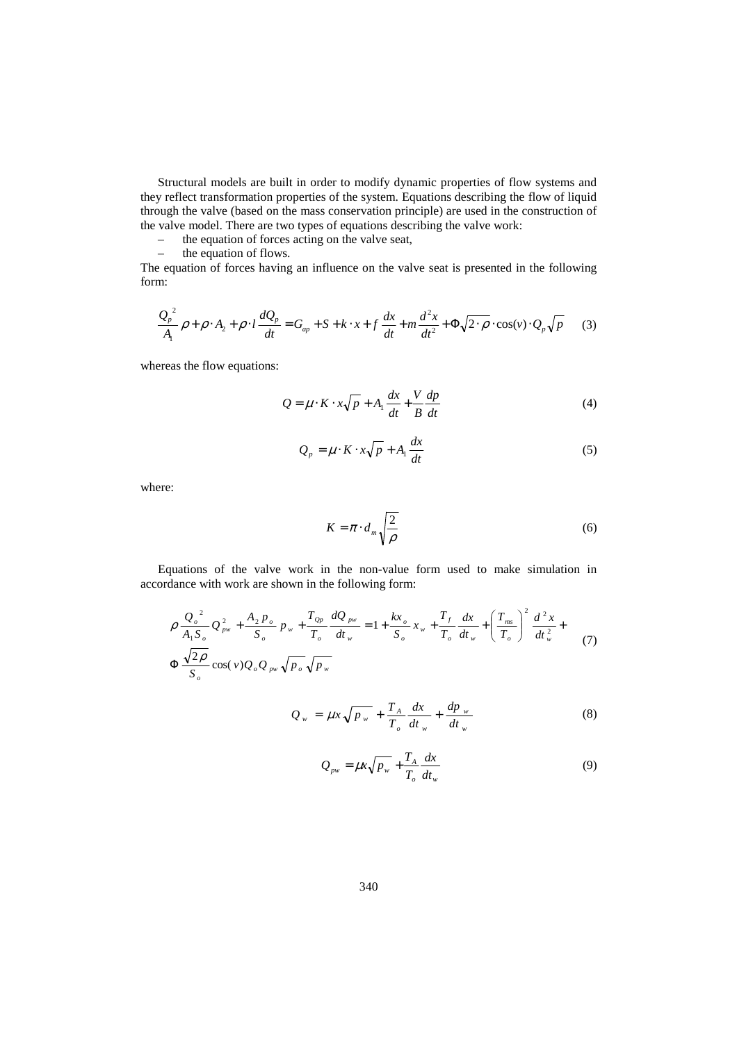Structural models are built in order to modify dynamic properties of flow systems and they reflect transformation properties of the system. Equations describing the flow of liquid through the valve (based on the mass conservation principle) are used in the construction of the valve model. There are two types of equations describing the valve work:

– the equation of forces acting on the valve seat,<br>  $-$  the equation of flows.

the equation of flows.

The equation of forces having an influence on the valve seat is presented in the following form:

$$
\frac{Q_p^2}{A_1}\rho + \rho \cdot A_2 + \rho \cdot l \frac{dQ_p}{dt} = G_{ap} + S + k \cdot x + f \frac{dx}{dt} + m \frac{d^2x}{dt^2} + \Phi \sqrt{2 \cdot \rho} \cdot \cos(v) \cdot Q_p \sqrt{p}
$$
 (3)

whereas the flow equations:

$$
Q = \mu \cdot K \cdot x \sqrt{p} + A_1 \frac{dx}{dt} + \frac{V}{B} \frac{dp}{dt}
$$
 (4)

$$
Q_p = \mu \cdot K \cdot x \sqrt{p} + A_1 \frac{dx}{dt}
$$
 (5)

where:

$$
K = \pi \cdot d_m \sqrt{\frac{2}{\rho}} \tag{6}
$$

Equations of the valve work in the non-value form used to make simulation in accordance with work are shown in the following form:

$$
\rho \frac{Q_o^2}{A_1 S_o} Q_{pw}^2 + \frac{A_2 p_o}{S_o} p_w + \frac{T_{Qp}}{T_o} \frac{dQ_{pw}}{dt_w} = 1 + \frac{kx_o}{S_o} x_w + \frac{T_f}{T_o} \frac{dx}{dt_w} + \left(\frac{T_{ms}}{T_o}\right)^2 \frac{d^2 x}{dt_w^2} + \frac{Q_{pw}}{S_o} \cos(v) Q_o Q_{pw} \sqrt{p_o} \sqrt{p_w}
$$
\n(7)

$$
Q_w = \mu x \sqrt{p_w} + \frac{T_A}{T_o} \frac{dx}{dt_w} + \frac{dp_w}{dt_w}
$$
 (8)

$$
Q_{\scriptscriptstyle{pw}} = \mu x \sqrt{p_{\scriptscriptstyle{w}}} + \frac{T_A}{T_o} \frac{dx}{dt_{\scriptscriptstyle{w}}}
$$
\n(9)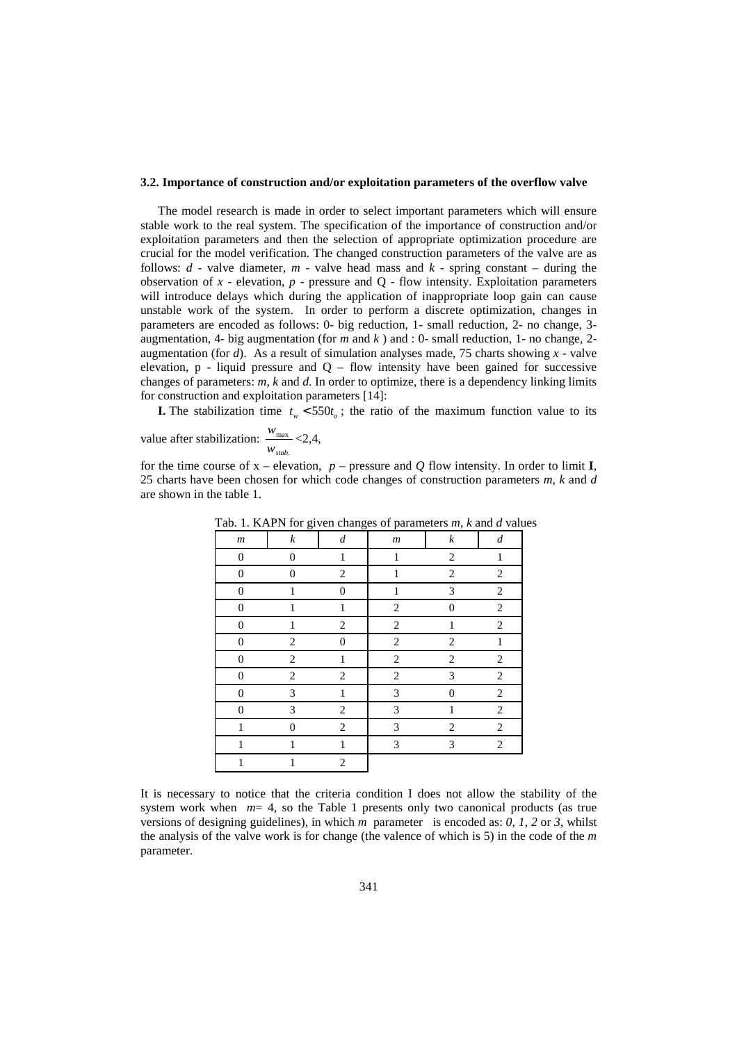#### **3.2. Importance of construction and/or exploitation parameters of the overflow valve**

The model research is made in order to select important parameters which will ensure stable work to the real system. The specification of the importance of construction and/or exploitation parameters and then the selection of appropriate optimization procedure are crucial for the model verification. The changed construction parameters of the valve are as follows:  $d$  - valve diameter,  $m$  - valve head mass and  $k$  - spring constant – during the observation of  $x$  - elevation,  $p$  - pressure and  $Q$  - flow intensity. Exploitation parameters will introduce delays which during the application of inappropriate loop gain can cause unstable work of the system. In order to perform a discrete optimization, changes in parameters are encoded as follows: 0- big reduction, 1- small reduction, 2- no change, 3 augmentation, 4- big augmentation (for *m* and *k* ) and : 0- small reduction, 1- no change, 2 augmentation (for *d*). As a result of simulation analyses made, 75 charts showing *x -* valve elevation,  $p$  - liquid pressure and  $Q$  – flow intensity have been gained for successive changes of parameters: *m, k* and *d*. In order to optimize, there is a dependency linking limits for construction and exploitation parameters [14]:

**I.** The stabilization time  $t_w < 550t_o$ ; the ratio of the maximum function value to its

value after stabilization: . max *wstab*  $\frac{w_{\text{max}}}{w_{\text{max}}}$  <2,4,

for the time course of  $x$  – elevation,  $p$  – pressure and  $Q$  flow intensity. In order to limit **I**, 25 charts have been chosen for which code changes of construction parameters *m*, *k* and *d* are shown in the table 1.

| .                | $\sim$ $\sim$ $\sim$<br>ె. | $\cdots$         | $\sim$ $\sim$ $\sim$ | $5.11$ , $1.11$  |                  |
|------------------|----------------------------|------------------|----------------------|------------------|------------------|
| $\boldsymbol{m}$ | $\boldsymbol{k}$           | $\boldsymbol{d}$ | $\boldsymbol{m}$     | $\boldsymbol{k}$ | $\boldsymbol{d}$ |
| $\boldsymbol{0}$ | $\boldsymbol{0}$           | $\mathbf{1}$     | $\mathbf{1}$         | $\overline{c}$   | $\,1$            |
| $\boldsymbol{0}$ | $\boldsymbol{0}$           | $\overline{c}$   | $\mathbf{1}$         | $\mathbf{2}$     | $\overline{2}$   |
| $\mathbf{0}$     | $\mathbf{1}$               | $\boldsymbol{0}$ | $\mathbf{1}$         | 3                | $\boldsymbol{2}$ |
| $\boldsymbol{0}$ | $\mathbf{1}$               | $\mathbf{1}$     | $\mathbf{2}$         | $\theta$         | $\overline{c}$   |
| $\boldsymbol{0}$ | 1                          | $\overline{c}$   | 2                    | $\mathbf{1}$     | $\overline{c}$   |
| $\boldsymbol{0}$ | $\overline{c}$             | $\boldsymbol{0}$ | $\overline{c}$       | 2                | $\,1$            |
| $\boldsymbol{0}$ | $\overline{2}$             | $\mathbf{1}$     | $\overline{c}$       | $\overline{2}$   | $\overline{2}$   |
| $\boldsymbol{0}$ | $\overline{2}$             | 2                | $\overline{c}$       | 3                | 2                |
| $\boldsymbol{0}$ | 3                          | $\mathbf{1}$     | 3                    | $\overline{0}$   | $\boldsymbol{2}$ |
| $\boldsymbol{0}$ | 3                          | 2                | 3                    | 1                | $\boldsymbol{2}$ |
| $\mathbf{1}$     | $\boldsymbol{0}$           | $\overline{c}$   | 3                    | 2                | $\boldsymbol{2}$ |
| $\mathbf{1}$     | $\mathbf{1}$               | $\mathbf{1}$     | 3                    | 3                | $\overline{2}$   |
| 1                | 1                          | $\overline{c}$   |                      |                  |                  |
|                  |                            |                  |                      |                  |                  |

Tab. 1. KAPN for given changes of parameters *m*, *k* and *d* values

It is necessary to notice that the criteria condition I does not allow the stability of the system work when  $m=4$ , so the Table 1 presents only two canonical products (as true versions of designing guidelines), in which *m* parameter is encoded as: *0, 1, 2* or *3*, whilst the analysis of the valve work is for change (the valence of which is 5) in the code of the *m* parameter.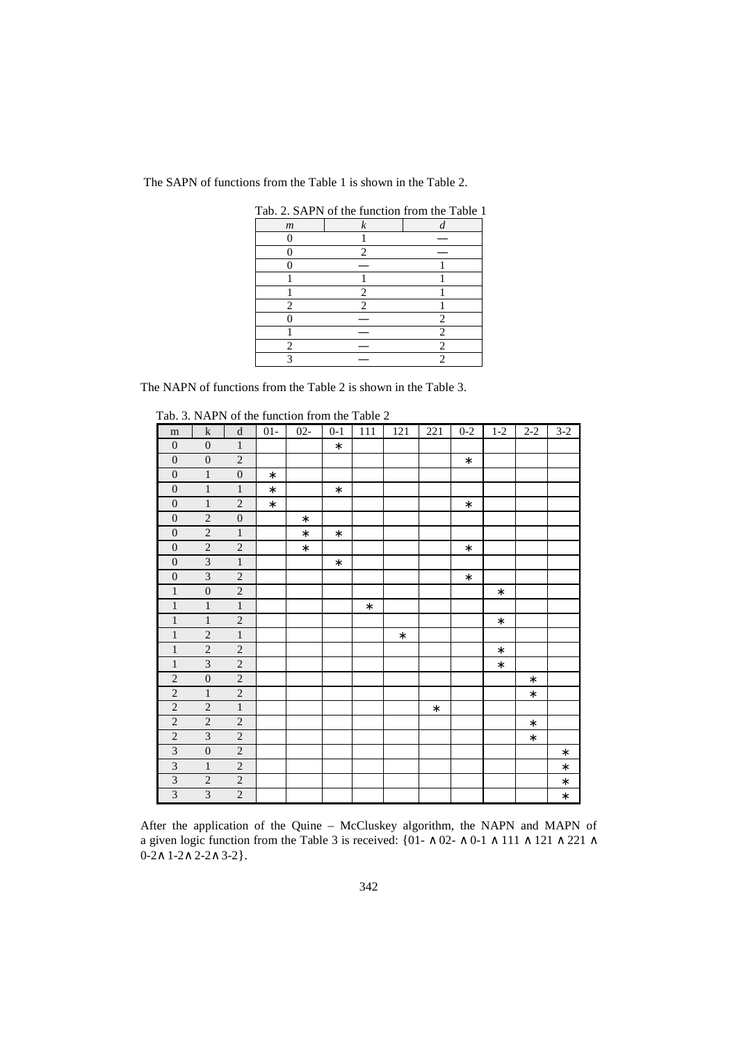The SAPN of functions from the Table 1 is shown in the Table 2.

| Tab. 2. SAPN of the function from the Table 1 |                  |   |  |  |  |  |  |  |  |  |  |
|-----------------------------------------------|------------------|---|--|--|--|--|--|--|--|--|--|
| $\boldsymbol{m}$                              | $\boldsymbol{k}$ |   |  |  |  |  |  |  |  |  |  |
|                                               |                  |   |  |  |  |  |  |  |  |  |  |
|                                               | 2                |   |  |  |  |  |  |  |  |  |  |
|                                               |                  |   |  |  |  |  |  |  |  |  |  |
|                                               |                  |   |  |  |  |  |  |  |  |  |  |
|                                               | 2                |   |  |  |  |  |  |  |  |  |  |
| 2                                             |                  |   |  |  |  |  |  |  |  |  |  |
|                                               |                  | 2 |  |  |  |  |  |  |  |  |  |
|                                               |                  | 2 |  |  |  |  |  |  |  |  |  |
| 2                                             |                  | 2 |  |  |  |  |  |  |  |  |  |
|                                               |                  |   |  |  |  |  |  |  |  |  |  |

The NAPN of functions from the Table 2 is shown in the Table 3.

| m                       | $\mathbf k$             | $\mathbf d$      | $01 -$ | $02 -$ | $0-1$  | 111    | 121    | 221    | $0 - 2$ | $1 - 2$ | $2 - 2$ | $3-2$  |
|-------------------------|-------------------------|------------------|--------|--------|--------|--------|--------|--------|---------|---------|---------|--------|
| $\mathbf{0}$            | $\mathbf{0}$            | $\mathbf{1}$     |        |        | $\ast$ |        |        |        |         |         |         |        |
| $\boldsymbol{0}$        | $\overline{0}$          | $\sqrt{2}$       |        |        |        |        |        |        | $\ast$  |         |         |        |
| $\boldsymbol{0}$        | $\,1$                   | $\boldsymbol{0}$ | $\ast$ |        |        |        |        |        |         |         |         |        |
| $\boldsymbol{0}$        | $\,1$                   | $\,1$            | $\ast$ |        | $\ast$ |        |        |        |         |         |         |        |
| $\boldsymbol{0}$        | $\overline{1}$          | $\overline{2}$   | $\ast$ |        |        |        |        |        | $\ast$  |         |         |        |
| $\boldsymbol{0}$        | $\overline{2}$          | $\boldsymbol{0}$ |        | $\ast$ |        |        |        |        |         |         |         |        |
| $\boldsymbol{0}$        | $\overline{2}$          | $\,1\,$          |        | $\ast$ | $\ast$ |        |        |        |         |         |         |        |
| $\overline{0}$          | $\overline{2}$          | $\sqrt{2}$       |        | $\ast$ |        |        |        |        | $\ast$  |         |         |        |
| $\boldsymbol{0}$        | $\overline{\mathbf{3}}$ | $\,1$            |        |        | $\ast$ |        |        |        |         |         |         |        |
| $\overline{0}$          | $\overline{3}$          | $\overline{c}$   |        |        |        |        |        |        | $\ast$  |         |         |        |
| $\,1$                   | $\boldsymbol{0}$        | $\sqrt{2}$       |        |        |        |        |        |        |         | $\ast$  |         |        |
| $\overline{1}$          | $\overline{1}$          | $\overline{1}$   |        |        |        | $\ast$ |        |        |         |         |         |        |
| $\,1$                   | $\mathbf{1}$            | $\sqrt{2}$       |        |        |        |        |        |        |         | $\ast$  |         |        |
| $\,1$                   | $\overline{c}$          | $\,1$            |        |        |        |        | $\ast$ |        |         |         |         |        |
| $\,1$                   | $\overline{c}$          | $\overline{c}$   |        |        |        |        |        |        |         | $\ast$  |         |        |
| $\,1$                   | $\overline{\mathbf{3}}$ | $\overline{c}$   |        |        |        |        |        |        |         | $\ast$  |         |        |
| $\sqrt{2}$              | $\boldsymbol{0}$        | $\sqrt{2}$       |        |        |        |        |        |        |         |         | $\ast$  |        |
| $\overline{2}$          | $\overline{1}$          | $\overline{2}$   |        |        |        |        |        |        |         |         | $\ast$  |        |
| $\overline{2}$          | $\overline{2}$          | $\overline{1}$   |        |        |        |        |        | $\ast$ |         |         |         |        |
| $\sqrt{2}$              | $\overline{2}$          | $\sqrt{2}$       |        |        |        |        |        |        |         |         | $\ast$  |        |
| $\overline{2}$          | $\overline{3}$          | $\sqrt{2}$       |        |        |        |        |        |        |         |         | $\ast$  |        |
| $\overline{3}$          | $\boldsymbol{0}$        | $\overline{2}$   |        |        |        |        |        |        |         |         |         | $\ast$ |
| $\overline{\mathbf{3}}$ | $\,1\,$                 | $\sqrt{2}$       |        |        |        |        |        |        |         |         |         | $\ast$ |
| $\overline{\mathbf{3}}$ | $\overline{c}$          | $\overline{c}$   |        |        |        |        |        |        |         |         |         | $\ast$ |
| $\mathfrak{Z}$          | $\overline{\mathbf{3}}$ | $\sqrt{2}$       |        |        |        |        |        |        |         |         |         | $\ast$ |

Tab. 3. NAPN of the function from the Table 2

After the application of the Quine – McCluskey algorithm, the NAPN and MAPN of a given logic function from the Table 3 is received: {01- ∧ 02- ∧ 0-1 ∧ 111 ∧ 121 ∧ 221 ∧ 0-2∧ 1-2∧ 2-2∧ 3-2}.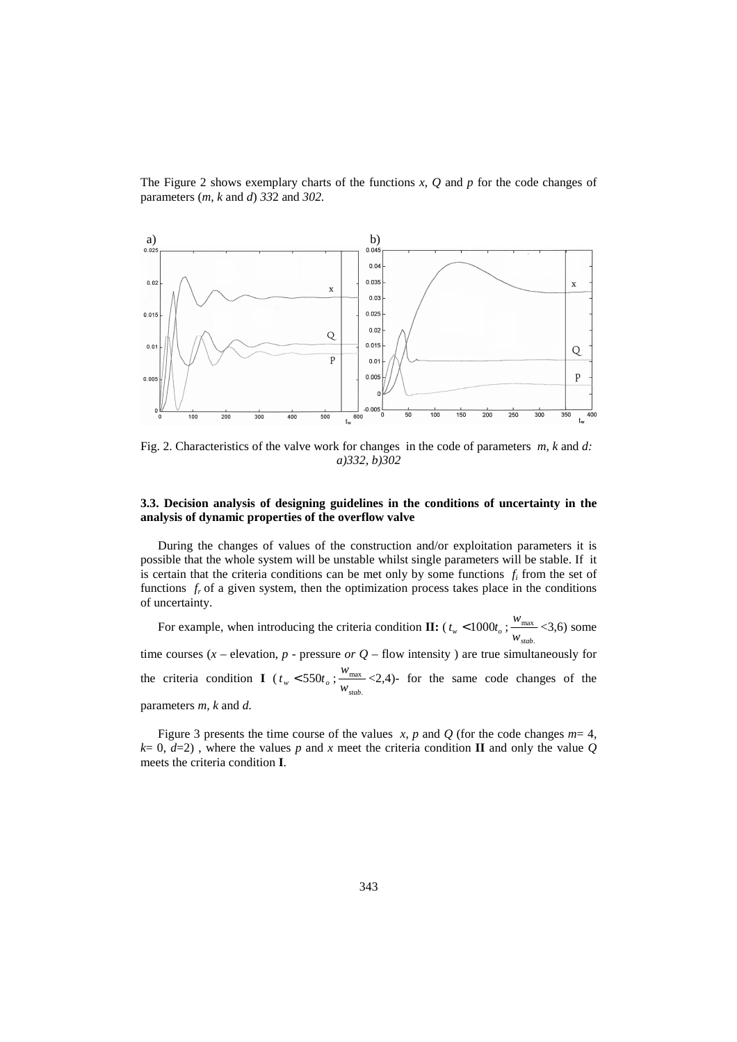The Figure 2 shows exemplary charts of the functions *x*, *Q* and *p* for the code changes of parameters (*m, k* and *d*) *33*2 and *302.* 



Fig. 2. Characteristics of the valve work for changes in the code of parameters *m*, *k* and *d: a)332, b)302* 

## **3.3. Decision analysis of designing guidelines in the conditions of uncertainty in the analysis of dynamic properties of the overflow valve**

During the changes of values of the construction and/or exploitation parameters it is possible that the whole system will be unstable whilst single parameters will be stable. If it is certain that the criteria conditions can be met only by some functions  $f_i$  from the set of functions  $f_r$  of a given system, then the optimization process takes place in the conditions of uncertainty.

For example, when introducing the criteria condition  $\mathbf{II}:$  ( $t_w$  < 1000 $t_o$ ); . max *wstab*  $\frac{w_{\text{max}}}{\sqrt{3}}$  <3,6) some time courses  $(x -$  elevation,  $p$  - pressure *or*  $Q$  – flow intensity ) are true simultaneously for the criteria condition **I** ( $t_w < 550t_o$ ; . max *wstab*  $\frac{w_{\text{max}}}{w_{\text{max}}}$  <2,4)- for the same code changes of the parameters *m, k* and *d.* 

Figure 3 presents the time course of the values *x*, *p* and *Q* (for the code changes  $m=4$ ,  $k= 0, d=2$ ), where the values *p* and *x* meet the criteria condition **II** and only the value *Q* meets the criteria condition **I**.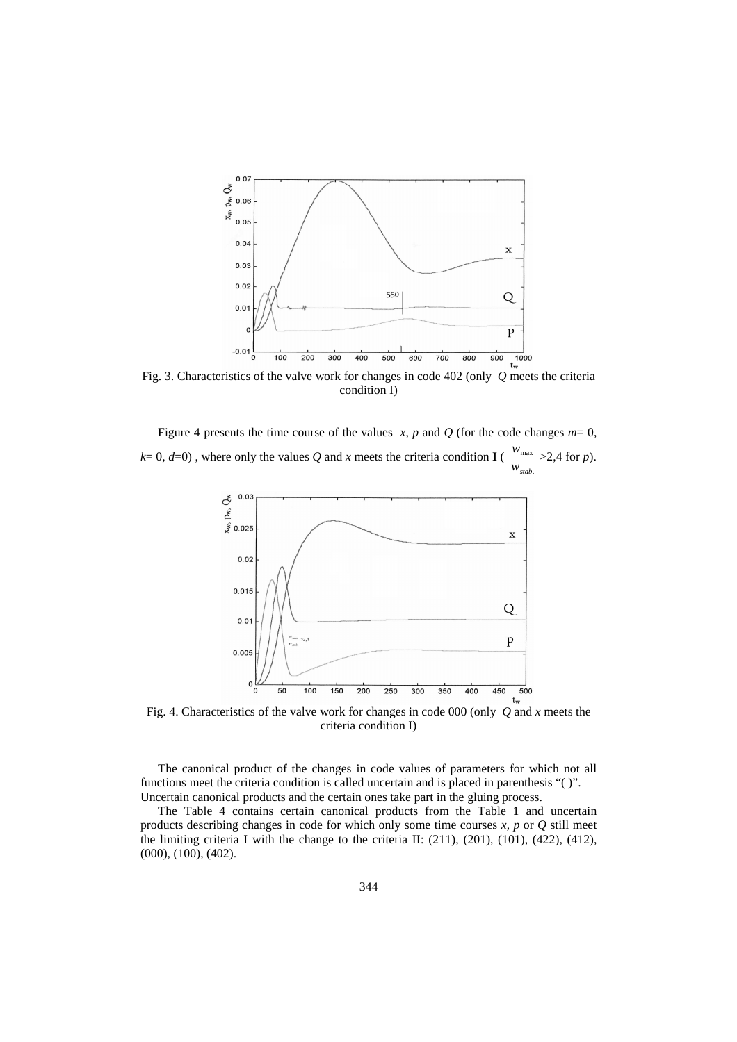

Fig. 3. Characteristics of the valve work for changes in code 402 (only *Q* meets the criteria condition I)

Figure 4 presents the time course of the values  $x$ ,  $p$  and  $Q$  (for the code changes  $m=0$ ,  $k= 0, d=0$ ), where only the values Q and x meets the criteria condition **I** ( . max *wstab*  $\frac{w_{\text{max}}}{\sqrt{2}}$  > 2,4 for *p*).



Fig. 4. Characteristics of the valve work for changes in code 000 (only *Q* and *x* meets the criteria condition I)

The canonical product of the changes in code values of parameters for which not all functions meet the criteria condition is called uncertain and is placed in parenthesis "( )". Uncertain canonical products and the certain ones take part in the gluing process.

The Table 4 contains certain canonical products from the Table 1 and uncertain products describing changes in code for which only some time courses *x, p* or *Q* still meet the limiting criteria I with the change to the criteria II:  $(211)$ ,  $(201)$ ,  $(101)$ ,  $(422)$ ,  $(412)$ , (000), (100), (402).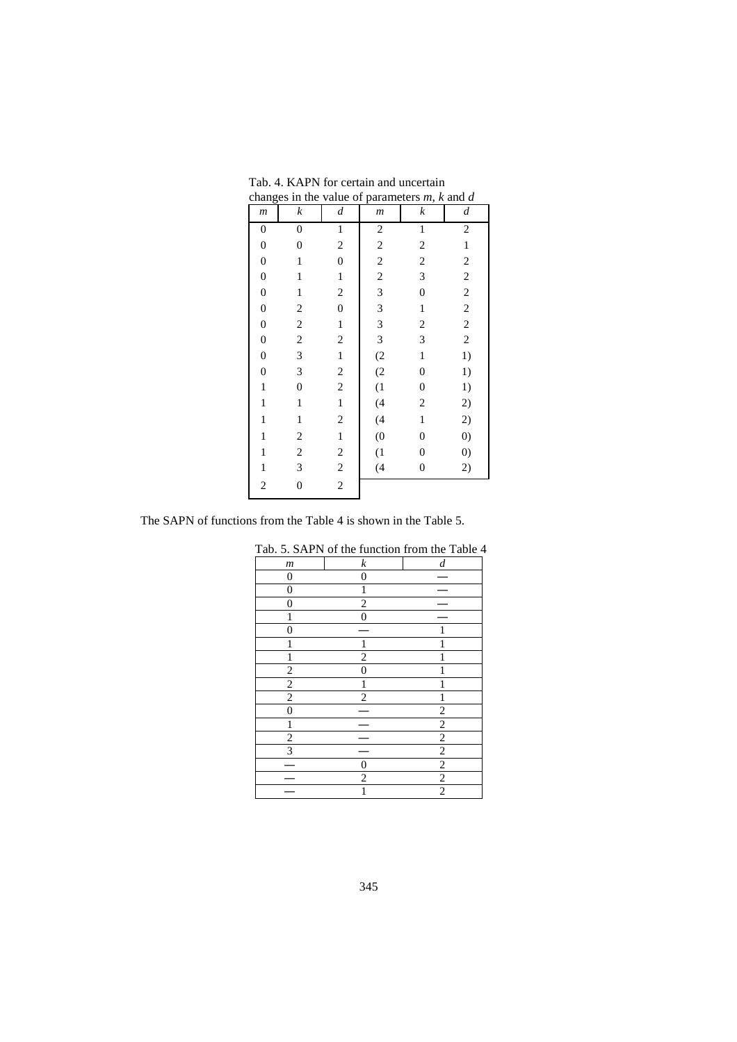| $\boldsymbol{m}$ | $\boldsymbol{k}$ | $\boldsymbol{d}$        | $\boldsymbol{m}$ | $\boldsymbol{k}$        | $\boldsymbol{d}$  |
|------------------|------------------|-------------------------|------------------|-------------------------|-------------------|
| $\boldsymbol{0}$ | $\boldsymbol{0}$ | $\,1$                   | $\overline{c}$   | $\mathbf{1}$            | $\sqrt{2}$        |
| $\boldsymbol{0}$ | $\boldsymbol{0}$ | $\overline{\mathbf{c}}$ | $\overline{c}$   | $\overline{c}$          | $\,1$             |
| $\boldsymbol{0}$ | $\mathbf{1}$     | $\boldsymbol{0}$        | $\overline{c}$   | $\overline{c}$          | $\sqrt{2}$        |
| $\boldsymbol{0}$ | $\mathbf{1}$     | $\mathbf 1$             | $\overline{c}$   | 3                       | $\overline{c}$    |
| $\boldsymbol{0}$ | $\mathbf{1}$     | $\overline{\mathbf{c}}$ | 3                | $\overline{0}$          | $\sqrt{2}$        |
| $\boldsymbol{0}$ | $\overline{c}$   | $\boldsymbol{0}$        | 3                | $\mathbf 1$             | $\sqrt{2}$        |
| $\boldsymbol{0}$ | $\sqrt{2}$       | $\,1$                   | 3                | $\overline{c}$          | $\sqrt{2}$        |
| $\boldsymbol{0}$ | $\overline{c}$   | $\overline{c}$          | 3                | 3                       | $\sqrt{2}$        |
| $\boldsymbol{0}$ | 3                | $\,1$                   | (2)              | $\mathbf{1}$            | 1)                |
| $\boldsymbol{0}$ | 3                | $\overline{\mathbf{c}}$ | (2)              | $\boldsymbol{0}$        | 1)                |
| $\mathbf{1}$     | $\boldsymbol{0}$ | $\overline{c}$          | (1)              | $\boldsymbol{0}$        | 1)                |
| $\,1$            | $\mathbf{1}$     | $\,1$                   | (4)              | $\overline{\mathbf{c}}$ | 2)                |
| $\mathbf{1}$     | $\mathbf{1}$     | $\overline{\mathbf{c}}$ | (4)              | $\mathbf{1}$            | 2)                |
| $\mathbf{1}$     | $\overline{c}$   | $\mathbf 1$             | $\overline{0}$   | $\boldsymbol{0}$        | $\left( 0\right)$ |
| $\,1$            | $\overline{c}$   | $\overline{\mathbf{c}}$ | (1)              | $\boldsymbol{0}$        | $\left( 0\right)$ |
| $\,1$            | 3                | $\overline{c}$          | (4)              | $\boldsymbol{0}$        | 2)                |
| $\overline{c}$   | $\boldsymbol{0}$ | $\overline{c}$          |                  |                         |                   |
|                  |                  |                         |                  |                         |                   |

 Tab. 4. KAPN for certain and uncertain changes in the value of parameters *m*, *k* and *d* 

The SAPN of functions from the Table 4 is shown in the Table 5.

|                  |                  | Tab. 5. SAPN of the function from the Table 4 |
|------------------|------------------|-----------------------------------------------|
| $\boldsymbol{m}$ | $\boldsymbol{k}$ | d                                             |
| $\theta$         | $\Omega$         |                                               |
| $\mathbf{0}$     |                  |                                               |
| $\overline{0}$   | $\overline{c}$   |                                               |
|                  | $\theta$         |                                               |
| 0                |                  |                                               |
|                  |                  |                                               |
|                  | $\overline{c}$   |                                               |
| $\overline{c}$   | 0                |                                               |
| $\overline{c}$   |                  |                                               |
| 2                | $\mathfrak{D}$   |                                               |
| 0                |                  | $\overline{2}$                                |
|                  |                  | 2                                             |
| $\overline{c}$   |                  | 2                                             |
| 3                |                  | $\overline{2}$                                |
|                  | 0                | $\overline{2}$                                |
|                  | $\mathfrak{D}$   | $\overline{c}$                                |
|                  |                  | $\overline{c}$                                |

| 345 |  |
|-----|--|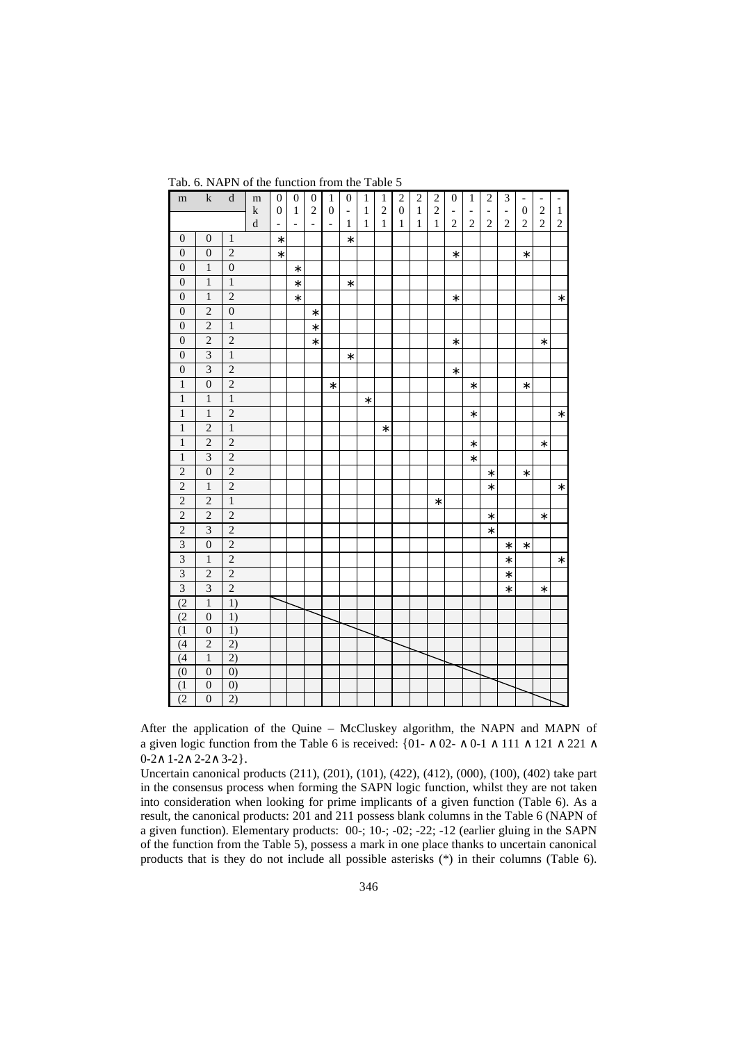| m                       | $\bf k$          | $\mathbf d$       | ${\rm m}$                | $\boldsymbol{0}$                             | $\boldsymbol{0}$ | $\boldsymbol{0}$                           | $\mathbf{1}$                       | $\boldsymbol{0}$                  | 1                            | 1                       | $\sqrt{2}$                     | $\overline{\mathbf{c}}$ | $\frac{2}{2}$ | $\boldsymbol{0}$                           | 1                                              | $\overline{c}$                             | 3                                | $\qquad \qquad -$                  | $\qquad \qquad -$                | $\overline{\phantom{0}}$      |
|-------------------------|------------------|-------------------|--------------------------|----------------------------------------------|------------------|--------------------------------------------|------------------------------------|-----------------------------------|------------------------------|-------------------------|--------------------------------|-------------------------|---------------|--------------------------------------------|------------------------------------------------|--------------------------------------------|----------------------------------|------------------------------------|----------------------------------|-------------------------------|
|                         |                  |                   | $\mathbf k$<br>${\bf d}$ | $\boldsymbol{0}$<br>$\overline{\phantom{a}}$ | 1<br>L,          | $\overline{2}$<br>$\overline{\phantom{0}}$ | $\boldsymbol{0}$<br>$\overline{a}$ | $\qquad \qquad \blacksquare$<br>1 | $\mathbf{1}$<br>$\mathbf{1}$ | $\overline{c}$<br>$\,1$ | $\overline{0}$<br>$\mathbf{1}$ | $\,1$<br>$\mathbf{1}$   | $\mathbf{1}$  | $\overline{\phantom{0}}$<br>$\overline{2}$ | $\qquad \qquad \blacksquare$<br>$\overline{2}$ | $\overline{\phantom{a}}$<br>$\overline{c}$ | $\blacksquare$<br>$\overline{2}$ | $\boldsymbol{0}$<br>$\overline{c}$ | $\overline{2}$<br>$\overline{c}$ | $\mathbf 1$<br>$\overline{c}$ |
| $\boldsymbol{0}$        | $\boldsymbol{0}$ | $\,1\,$           |                          | $\ast$                                       |                  |                                            |                                    | $\ast$                            |                              |                         |                                |                         |               |                                            |                                                |                                            |                                  |                                    |                                  |                               |
| $\boldsymbol{0}$        | $\boldsymbol{0}$ | $\overline{2}$    |                          | $\ast$                                       |                  |                                            |                                    |                                   |                              |                         |                                |                         |               | $\ast$                                     |                                                |                                            |                                  | $\ast$                             |                                  |                               |
| $\boldsymbol{0}$        | $\,1\,$          | $\boldsymbol{0}$  |                          |                                              | $\ast$           |                                            |                                    |                                   |                              |                         |                                |                         |               |                                            |                                                |                                            |                                  |                                    |                                  |                               |
| $\boldsymbol{0}$        | $\,1\,$          | $\,1\,$           |                          |                                              | $\ast$           |                                            |                                    | $\ast$                            |                              |                         |                                |                         |               |                                            |                                                |                                            |                                  |                                    |                                  |                               |
| $\boldsymbol{0}$        | $\mathbf{1}$     | $\overline{c}$    |                          |                                              | $\ast$           |                                            |                                    |                                   |                              |                         |                                |                         |               | *                                          |                                                |                                            |                                  |                                    |                                  | $\ast$                        |
| $\boldsymbol{0}$        | $\overline{2}$   | $\boldsymbol{0}$  |                          |                                              |                  | $\ast$                                     |                                    |                                   |                              |                         |                                |                         |               |                                            |                                                |                                            |                                  |                                    |                                  |                               |
| $\boldsymbol{0}$        | $\overline{c}$   | $\,1$             |                          |                                              |                  | $\ast$                                     |                                    |                                   |                              |                         |                                |                         |               |                                            |                                                |                                            |                                  |                                    |                                  |                               |
| $\mathbf{0}$            | $\overline{2}$   | $\overline{2}$    |                          |                                              |                  | $\ast$                                     |                                    |                                   |                              |                         |                                |                         |               | $\ast$                                     |                                                |                                            |                                  |                                    | $\ast$                           |                               |
| $\boldsymbol{0}$        | $\overline{3}$   | $\overline{1}$    |                          |                                              |                  |                                            |                                    | $\ast$                            |                              |                         |                                |                         |               |                                            |                                                |                                            |                                  |                                    |                                  |                               |
| $\boldsymbol{0}$        | $\overline{3}$   | $\overline{2}$    |                          |                                              |                  |                                            |                                    |                                   |                              |                         |                                |                         |               | $\ast$                                     |                                                |                                            |                                  |                                    |                                  |                               |
| $\,1\,$                 | $\overline{0}$   | $\overline{c}$    |                          |                                              |                  |                                            | $\ast$                             |                                   |                              |                         |                                |                         |               |                                            | $\ast$                                         |                                            |                                  | $\ast$                             |                                  |                               |
| $\,1\,$                 | $\,1\,$          | $\,1$             |                          |                                              |                  |                                            |                                    |                                   | $\ast$                       |                         |                                |                         |               |                                            |                                                |                                            |                                  |                                    |                                  |                               |
| $\mathbf{1}$            | $\mathbf{1}$     | $\sqrt{2}$        |                          |                                              |                  |                                            |                                    |                                   |                              |                         |                                |                         |               |                                            | $\ast$                                         |                                            |                                  |                                    |                                  | $\ast$                        |
| $\,1\,$                 | $\overline{c}$   | $\,1\,$           |                          |                                              |                  |                                            |                                    |                                   |                              | $\ast$                  |                                |                         |               |                                            |                                                |                                            |                                  |                                    |                                  |                               |
| $\mathbf{1}$            | $\overline{2}$   | $\overline{2}$    |                          |                                              |                  |                                            |                                    |                                   |                              |                         |                                |                         |               |                                            | $\ast$                                         |                                            |                                  |                                    | $\ast$                           |                               |
| $\mathbf{1}$            | $\overline{3}$   | $\overline{2}$    |                          |                                              |                  |                                            |                                    |                                   |                              |                         |                                |                         |               |                                            | $\ast$                                         |                                            |                                  |                                    |                                  |                               |
| $\overline{c}$          | $\boldsymbol{0}$ | $\overline{2}$    |                          |                                              |                  |                                            |                                    |                                   |                              |                         |                                |                         |               |                                            |                                                | $\ast$                                     |                                  | $\ast$                             |                                  |                               |
| $\overline{2}$          | $\,1$            | $\overline{c}$    |                          |                                              |                  |                                            |                                    |                                   |                              |                         |                                |                         |               |                                            |                                                | $\ast$                                     |                                  |                                    |                                  | $\ast$                        |
| $\overline{2}$          | $\overline{2}$   | $\overline{1}$    |                          |                                              |                  |                                            |                                    |                                   |                              |                         |                                |                         | $\ast$        |                                            |                                                |                                            |                                  |                                    |                                  |                               |
| $\overline{c}$          | $\overline{c}$   | $\sqrt{2}$        |                          |                                              |                  |                                            |                                    |                                   |                              |                         |                                |                         |               |                                            |                                                | $\ast$                                     |                                  |                                    | $\ast$                           |                               |
| $\overline{2}$          | $\overline{3}$   | $\overline{2}$    |                          |                                              |                  |                                            |                                    |                                   |                              |                         |                                |                         |               |                                            |                                                | $\ast$                                     |                                  |                                    |                                  |                               |
| $\overline{3}$          | $\boldsymbol{0}$ | $\overline{2}$    |                          |                                              |                  |                                            |                                    |                                   |                              |                         |                                |                         |               |                                            |                                                |                                            | $\ast$                           | $\ast$                             |                                  |                               |
| $\overline{\mathbf{3}}$ | $\mathbf{1}$     | $\sqrt{2}$        |                          |                                              |                  |                                            |                                    |                                   |                              |                         |                                |                         |               |                                            |                                                |                                            | $\ast$                           |                                    |                                  | $\ast$                        |
| $\overline{\mathbf{3}}$ | $\overline{c}$   | $\sqrt{2}$        |                          |                                              |                  |                                            |                                    |                                   |                              |                         |                                |                         |               |                                            |                                                |                                            | $\ast$                           |                                    |                                  |                               |
| $\overline{3}$          | 3                | $\overline{2}$    |                          |                                              |                  |                                            |                                    |                                   |                              |                         |                                |                         |               |                                            |                                                |                                            | $\ast$                           |                                    | $\ast$                           |                               |
| (2)                     | $\,1\,$          | 1)                |                          |                                              |                  |                                            |                                    |                                   |                              |                         |                                |                         |               |                                            |                                                |                                            |                                  |                                    |                                  |                               |
| (2)                     | $\boldsymbol{0}$ | 1)                |                          |                                              |                  |                                            |                                    |                                   |                              |                         |                                |                         |               |                                            |                                                |                                            |                                  |                                    |                                  |                               |
| (1)                     | $\boldsymbol{0}$ | 1)                |                          |                                              |                  |                                            |                                    |                                   |                              |                         |                                |                         |               |                                            |                                                |                                            |                                  |                                    |                                  |                               |
| (4)                     | $\overline{c}$   | 2)                |                          |                                              |                  |                                            |                                    |                                   |                              |                         |                                |                         |               |                                            |                                                |                                            |                                  |                                    |                                  |                               |
| (4)                     | $\,1\,$          | 2)                |                          |                                              |                  |                                            |                                    |                                   |                              |                         |                                |                         |               |                                            |                                                |                                            |                                  |                                    |                                  |                               |
| (0)                     | $\boldsymbol{0}$ | $\left( 0\right)$ |                          |                                              |                  |                                            |                                    |                                   |                              |                         |                                |                         |               |                                            |                                                |                                            |                                  |                                    |                                  |                               |
| (1)                     | $\boldsymbol{0}$ | $\left( 0\right)$ |                          |                                              |                  |                                            |                                    |                                   |                              |                         |                                |                         |               |                                            |                                                |                                            |                                  |                                    |                                  |                               |
| (2)                     | $\mathbf{0}$     | 2)                |                          |                                              |                  |                                            |                                    |                                   |                              |                         |                                |                         |               |                                            |                                                |                                            |                                  |                                    |                                  |                               |

Tab. 6. NAPN of the function from the Table 5

After the application of the Quine – McCluskey algorithm, the NAPN and MAPN of a given logic function from the Table 6 is received: {01- ∧ 02- ∧ 0-1 ∧ 111 ∧ 121 ∧ 221 ∧ 0-2∧ 1-2∧ 2-2∧ 3-2}.

Uncertain canonical products (211), (201), (101), (422), (412), (000), (100), (402) take part in the consensus process when forming the SAPN logic function, whilst they are not taken into consideration when looking for prime implicants of a given function (Table 6). As a result, the canonical products: 201 and 211 possess blank columns in the Table 6 (NAPN of a given function). Elementary products: 00-; 10-; -02; -22; -12 (earlier gluing in the SAPN of the function from the Table 5), possess a mark in one place thanks to uncertain canonical products that is they do not include all possible asterisks (\*) in their columns (Table 6).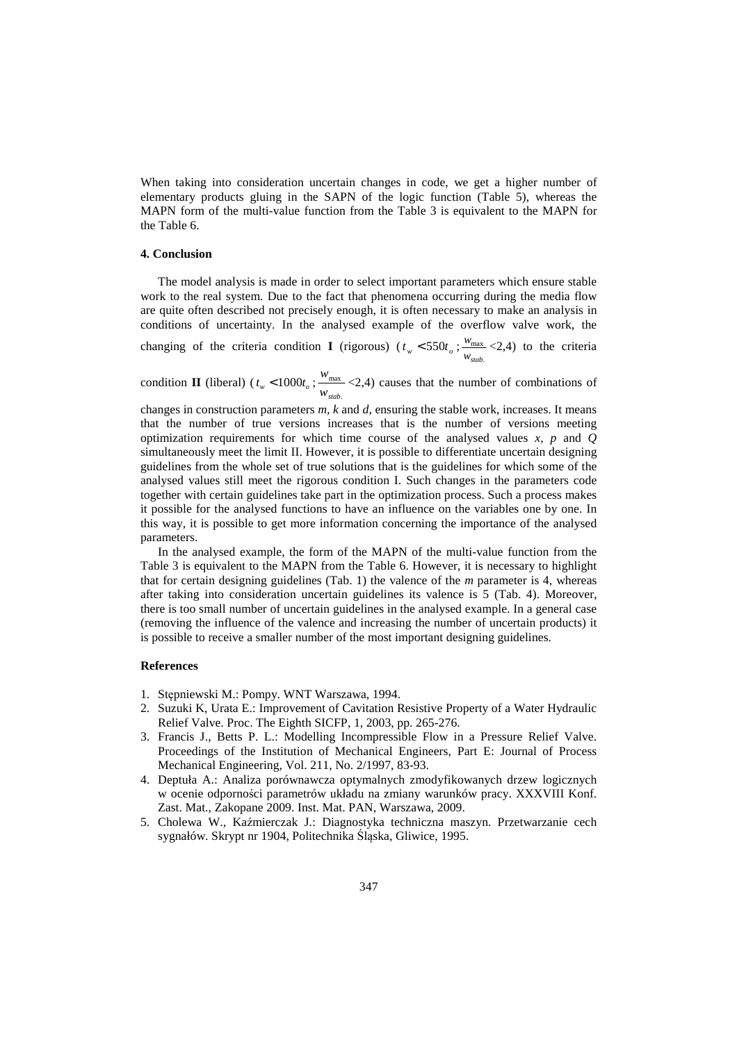When taking into consideration uncertain changes in code, we get a higher number of elementary products gluing in the SAPN of the logic function (Table 5), whereas the MAPN form of the multi-value function from the Table 3 is equivalent to the MAPN for the Table 6.

### **4. Conclusion**

The model analysis is made in order to select important parameters which ensure stable work to the real system. Due to the fact that phenomena occurring during the media flow are quite often described not precisely enough, it is often necessary to make an analysis in conditions of uncertainty. In the analysed example of the overflow valve work, the changing of the criteria condition **I** (rigorous) ( $t_w < 550t_o$ ; max *wstab*  $\frac{w_{\text{max}}}{w_{\text{max}}}$  <2,4) to the criteria

condition **II** (liberal) ( $t_w < 1000t_o$ ; . max *wstab*  $\frac{w_{\text{max}}}{w_{\text{max}}}$  <2,4) causes that the number of combinations of

.

changes in construction parameters *m, k* and *d*, ensuring the stable work, increases. It means that the number of true versions increases that is the number of versions meeting optimization requirements for which time course of the analysed values *x, p* and *Q* simultaneously meet the limit II. However, it is possible to differentiate uncertain designing guidelines from the whole set of true solutions that is the guidelines for which some of the analysed values still meet the rigorous condition I. Such changes in the parameters code together with certain guidelines take part in the optimization process. Such a process makes it possible for the analysed functions to have an influence on the variables one by one. In this way, it is possible to get more information concerning the importance of the analysed parameters.

In the analysed example, the form of the MAPN of the multi-value function from the Table 3 is equivalent to the MAPN from the Table 6. However, it is necessary to highlight that for certain designing guidelines (Tab. 1) the valence of the *m* parameter is 4, whereas after taking into consideration uncertain guidelines its valence is 5 (Tab. 4). Moreover, there is too small number of uncertain guidelines in the analysed example. In a general case (removing the influence of the valence and increasing the number of uncertain products) it is possible to receive a smaller number of the most important designing guidelines.

#### **References**

- 1. Stępniewski M.: Pompy. WNT Warszawa, 1994.
- 2. Suzuki K, Urata E.: Improvement of Cavitation Resistive Property of a Water Hydraulic Relief Valve. Proc. The Eighth SICFP, 1, 2003, pp. 265-276.
- 3. Francis J., Betts P. L.: Modelling Incompressible Flow in a Pressure Relief Valve. Proceedings of the Institution of Mechanical Engineers, Part E: Journal of Process Mechanical Engineering, Vol. 211, No. 2/1997, 83-93.
- 4. Deptuła A.: Analiza porównawcza optymalnych zmodyfikowanych drzew logicznych w ocenie odporności parametrów układu na zmiany warunków pracy. XXXVIII Konf. Zast. Mat., Zakopane 2009. Inst. Mat. PAN, Warszawa, 2009.
- 5. Cholewa W., Kaźmierczak J.: Diagnostyka techniczna maszyn. Przetwarzanie cech sygnałów. Skrypt nr 1904, Politechnika Śląska, Gliwice, 1995.